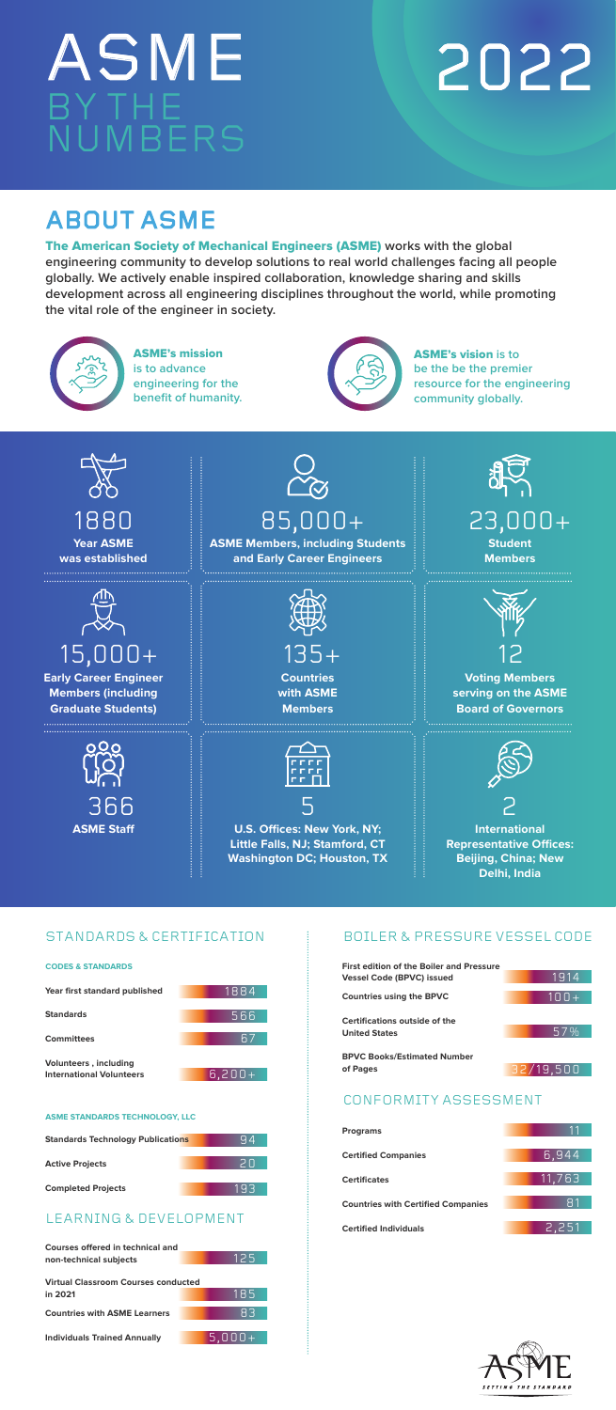





**International Representative Offices: Beijing, China; New Delhi, India** 



**Courses offered in technical and non-technical subjects**

**Virtual Classroom Courses conducted in 2021**

**Countries with ASME Learners**

**ASME Staff U.S. Offices: New York, NY; Little Falls, NJ; Stamford, CT Washington DC; Houston, TX** 5 2

**Individuals Trained Annually**





**ASME Members, including Students and Early Career Engineers**  85,000+ 23,000+

**Programs**

**Certified Companies**

| <b>First edition of the Boiler and Pressure</b><br><b>Vessel Code (BPVC) issued</b> |           |
|-------------------------------------------------------------------------------------|-----------|
|                                                                                     | 1914      |
| <b>Countries using the BPVC</b>                                                     | $100+$    |
|                                                                                     |           |
| <b>Certifications outside of the</b>                                                |           |
| <b>United States</b>                                                                | 57%       |
| <b>BPVC Books/Estimated Number</b>                                                  |           |
| of Pages                                                                            | 32/19.500 |



**Countries with Certified Companies** 

**Certified Individuals**

# ASME 2022 BY THE NUMBERS

#### **ASME STANDARDS TECHNOLOGY, LLC**



## STANDARDS & CERTIFICATION











94



193



185

83





## BOILER & PRESSURE VESSEL CODE

## CONFORMITY ASSESSMENT



The American Society of Mechanical Engineers (ASME) **works with the global engineering community to develop solutions to real world challenges facing all people globally. We actively enable inspired collaboration, knowledge sharing and skills development across all engineering disciplines throughout the world, while promoting the vital role of the engineer in society.** MISSION

## ABOUT ASME



ASME's mission **is to advance engineering for the benefit of humanity.**



ASME's vision **is to be the be the premier resource for the engineering community globally.**



**Completed Projects**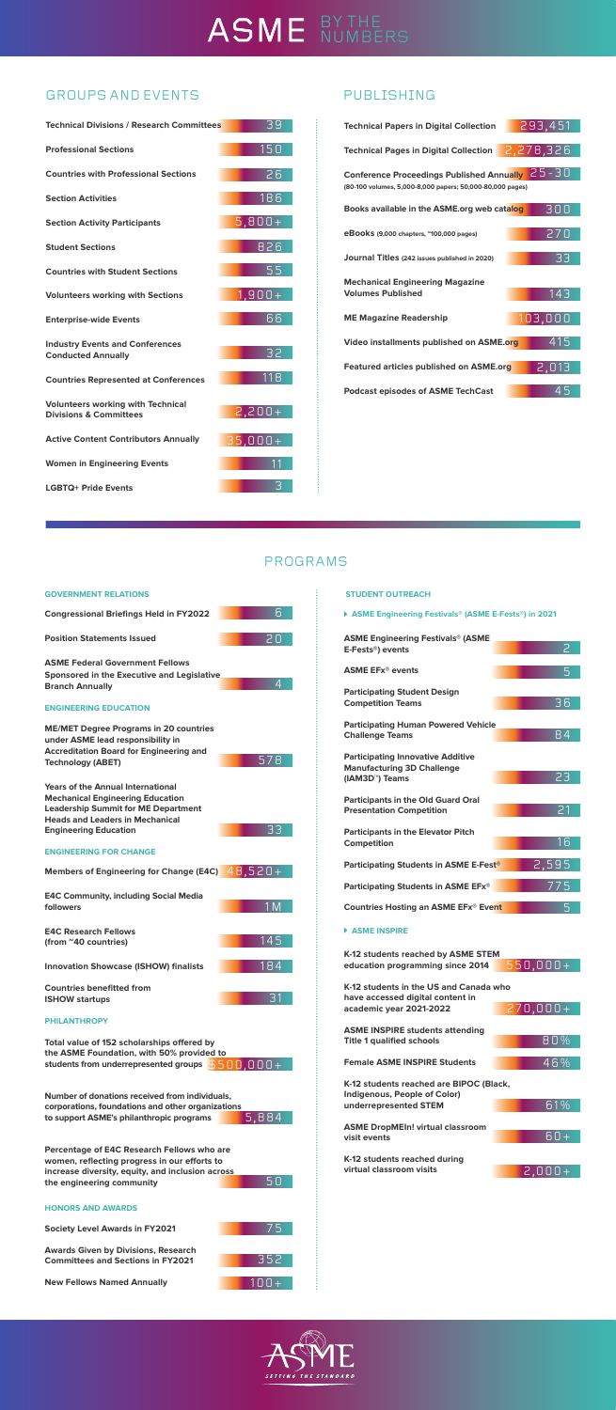# ASME BYTHE

## GROUPS AND EVENTS FUBLISHING



**K-12 students reached during virtual classroom visits**

#### **ASME Engineering Festivals® (ASME E-Fests®) in 2021**



| <b>ASME Engineering Festivals® (ASME</b>                                      |                |
|-------------------------------------------------------------------------------|----------------|
| E-Fests®) events                                                              | $\overline{c}$ |
|                                                                               |                |
| <b>ASME EFx<sup>®</sup> events</b>                                            | 5              |
| <b>Participating Student Design</b>                                           |                |
| <b>Competition Teams</b>                                                      | 36             |
|                                                                               |                |
| <b>Participating Human Powered Vehicle</b>                                    |                |
| <b>Challenge Teams</b>                                                        | 84             |
|                                                                               |                |
| <b>Participating Innovative Additive</b><br><b>Manufacturing 3D Challenge</b> |                |
| (IAM3D <sup>™</sup> ) Teams                                                   | 23             |
|                                                                               |                |
| <b>Participants in the Old Guard Oral</b>                                     |                |
| <b>Presentation Competition</b>                                               | 21             |
|                                                                               |                |
| <b>Participants in the Elevator Pitch</b>                                     |                |
| <b>Competition</b>                                                            | 16             |
| <b>Participating Students in ASME E-Fest®</b>                                 | 2,595          |
|                                                                               |                |
| Participating Students in ASME EFx®                                           | 775            |
|                                                                               |                |
| <b>Countries Hosting an ASME EFx® Event</b>                                   | 5              |
| <b>ASME INSPIRE</b>                                                           |                |
|                                                                               |                |
| K-12 students reached by ASME STEM                                            |                |
| education programming since 2014                                              | $550,000+$     |
|                                                                               |                |
| K-12 students in the US and Canada who                                        |                |
| have accessed digital content in<br>academic year 2021-2022                   | $270,000+$     |
|                                                                               |                |
| <b>ASME INSPIRE students attending</b>                                        |                |
| <b>Title 1 qualified schools</b>                                              | 80%            |
|                                                                               |                |
| <b>Female ASME INSPIRE Students</b>                                           | $46\%$         |
|                                                                               |                |
| K-12 students reached are BIPOC (Black,                                       |                |
| <b>Indigenous, People of Color)</b><br>underrepresented STEM                  | 61%            |
|                                                                               |                |
| <b>ASME DropMEIn! virtual classroom</b>                                       |                |
| visit events                                                                  | 60+            |



**Percentage of E4C Research Fellows who are women, reflecting progress in our efforts to increase diversity, equity, and inclusion across the engineering community**

**Society Level Awards in FY2021**

**Awards Given by Divisions, Research Committees and Sections in FY2021**

**New Fellows Named Annually**

#### **HONORS AND AWARDS**

#### **STUDENT OUTREACH**

## PROGRAMS